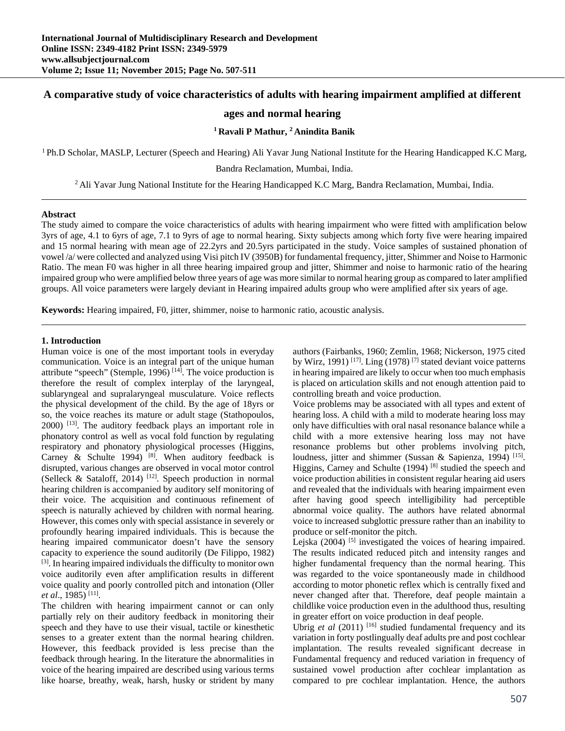# **A comparative study of voice characteristics of adults with hearing impairment amplified at different**

# **ages and normal hearing**

# **1 Ravali P Mathur, 2 Anindita Banik**

1 Ph.D Scholar, MASLP, Lecturer (Speech and Hearing) Ali Yavar Jung National Institute for the Hearing Handicapped K.C Marg,

Bandra Reclamation, Mumbai, India.

2 Ali Yavar Jung National Institute for the Hearing Handicapped K.C Marg, Bandra Reclamation, Mumbai, India.

#### **Abstract**

The study aimed to compare the voice characteristics of adults with hearing impairment who were fitted with amplification below 3yrs of age, 4.1 to 6yrs of age, 7.1 to 9yrs of age to normal hearing. Sixty subjects among which forty five were hearing impaired and 15 normal hearing with mean age of 22.2yrs and 20.5yrs participated in the study. Voice samples of sustained phonation of vowel /a/ were collected and analyzed using Visi pitch IV (3950B) for fundamental frequency, jitter, Shimmer and Noise to Harmonic Ratio. The mean F0 was higher in all three hearing impaired group and jitter, Shimmer and noise to harmonic ratio of the hearing impaired group who were amplified below three years of age was more similar to normal hearing group as compared to later amplified groups. All voice parameters were largely deviant in Hearing impaired adults group who were amplified after six years of age.

**Keywords:** Hearing impaired, F0, jitter, shimmer, noise to harmonic ratio, acoustic analysis.

### **1. Introduction**

Human voice is one of the most important tools in everyday communication. Voice is an integral part of the unique human attribute "speech" (Stemple, 1996)<sup>[14]</sup>. The voice production is therefore the result of complex interplay of the laryngeal, sublaryngeal and supralaryngeal musculature. Voice reflects the physical development of the child. By the age of 18yrs or so, the voice reaches its mature or adult stage (Stathopoulos, 2000) [13]. The auditory feedback plays an important role in phonatory control as well as vocal fold function by regulating respiratory and phonatory physiological processes (Higgins, Carney & Schulte 1994)  $[8]$ . When auditory feedback is disrupted, various changes are observed in vocal motor control (Selleck & Sataloff, 2014)<sup>[12]</sup>. Speech production in normal hearing children is accompanied by auditory self monitoring of their voice. The acquisition and continuous refinement of speech is naturally achieved by children with normal hearing. However, this comes only with special assistance in severely or profoundly hearing impaired individuals. This is because the hearing impaired communicator doesn't have the sensory capacity to experience the sound auditorily (De Filippo, 1982) [3]. In hearing impaired individuals the difficulty to monitor own voice auditorily even after amplification results in different voice quality and poorly controlled pitch and intonation (Oller *et al*., 1985) [11].

The children with hearing impairment cannot or can only partially rely on their auditory feedback in monitoring their speech and they have to use their visual, tactile or kinesthetic senses to a greater extent than the normal hearing children. However, this feedback provided is less precise than the feedback through hearing. In the literature the abnormalities in voice of the hearing impaired are described using various terms like hoarse, breathy, weak, harsh, husky or strident by many

authors (Fairbanks, 1960; Zemlin, 1968; Nickerson, 1975 cited by Wirz, 1991)<sup>[17]</sup>. Ling (1978)<sup>[7]</sup> stated deviant voice patterns in hearing impaired are likely to occur when too much emphasis is placed on articulation skills and not enough attention paid to controlling breath and voice production.

Voice problems may be associated with all types and extent of hearing loss. A child with a mild to moderate hearing loss may only have difficulties with oral nasal resonance balance while a child with a more extensive hearing loss may not have resonance problems but other problems involving pitch, loudness, jitter and shimmer (Sussan & Sapienza, 1994)<sup>[15]</sup>. Higgins, Carney and Schulte (1994)<sup>[8]</sup> studied the speech and voice production abilities in consistent regular hearing aid users and revealed that the individuals with hearing impairment even after having good speech intelligibility had perceptible abnormal voice quality. The authors have related abnormal voice to increased subglottic pressure rather than an inability to produce or self-monitor the pitch.

Lejska (2004) <sup>[5]</sup> investigated the voices of hearing impaired. The results indicated reduced pitch and intensity ranges and higher fundamental frequency than the normal hearing. This was regarded to the voice spontaneously made in childhood according to motor phonetic reflex which is centrally fixed and never changed after that. Therefore, deaf people maintain a childlike voice production even in the adulthood thus, resulting in greater effort on voice production in deaf people.

Ubrig *et al* (2011) <sup>[16]</sup> studied fundamental frequency and its variation in forty postlingually deaf adults pre and post cochlear implantation. The results revealed significant decrease in Fundamental frequency and reduced variation in frequency of sustained vowel production after cochlear implantation as compared to pre cochlear implantation. Hence, the authors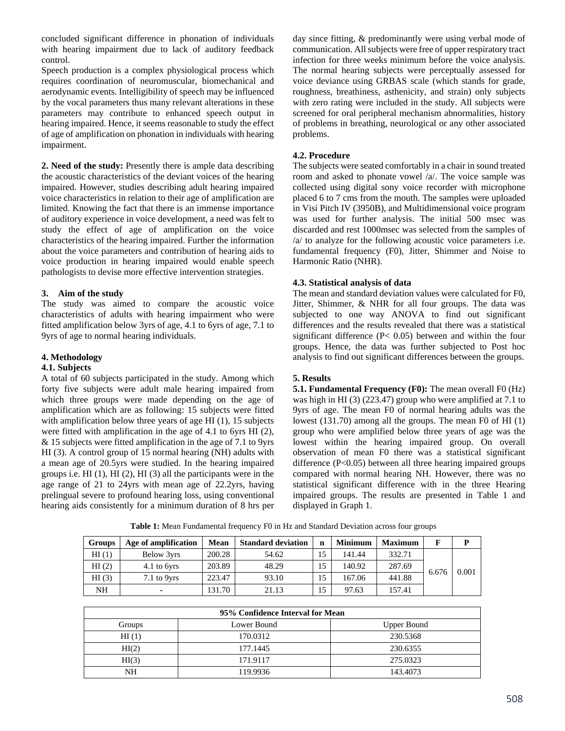concluded significant difference in phonation of individuals with hearing impairment due to lack of auditory feedback control.

Speech production is a complex physiological process which requires coordination of neuromuscular, biomechanical and aerodynamic events. Intelligibility of speech may be influenced by the vocal parameters thus many relevant alterations in these parameters may contribute to enhanced speech output in hearing impaired. Hence, it seems reasonable to study the effect of age of amplification on phonation in individuals with hearing impairment.

**2. Need of the study:** Presently there is ample data describing the acoustic characteristics of the deviant voices of the hearing impaired. However, studies describing adult hearing impaired voice characteristics in relation to their age of amplification are limited. Knowing the fact that there is an immense importance of auditory experience in voice development, a need was felt to study the effect of age of amplification on the voice characteristics of the hearing impaired. Further the information about the voice parameters and contribution of hearing aids to voice production in hearing impaired would enable speech pathologists to devise more effective intervention strategies.

# **3. Aim of the study**

The study was aimed to compare the acoustic voice characteristics of adults with hearing impairment who were fitted amplification below 3yrs of age, 4.1 to 6yrs of age, 7.1 to 9yrs of age to normal hearing individuals.

# **4. Methodology**

### **4.1. Subjects**

A total of 60 subjects participated in the study. Among which forty five subjects were adult male hearing impaired from which three groups were made depending on the age of amplification which are as following: 15 subjects were fitted with amplification below three years of age HI (1), 15 subjects were fitted with amplification in the age of 4.1 to 6yrs HI (2), & 15 subjects were fitted amplification in the age of 7.1 to 9yrs HI (3). A control group of 15 normal hearing (NH) adults with a mean age of 20.5yrs were studied. In the hearing impaired groups i.e. HI (1), HI (2), HI (3) all the participants were in the age range of 21 to 24yrs with mean age of 22.2yrs, having prelingual severe to profound hearing loss, using conventional hearing aids consistently for a minimum duration of 8 hrs per

day since fitting, & predominantly were using verbal mode of communication. All subjects were free of upper respiratory tract infection for three weeks minimum before the voice analysis. The normal hearing subjects were perceptually assessed for voice deviance using GRBAS scale (which stands for grade, roughness, breathiness, asthenicity, and strain) only subjects with zero rating were included in the study. All subjects were screened for oral peripheral mechanism abnormalities, history of problems in breathing, neurological or any other associated problems.

# **4.2. Procedure**

The subjects were seated comfortably in a chair in sound treated room and asked to phonate vowel /a/. The voice sample was collected using digital sony voice recorder with microphone placed 6 to 7 cms from the mouth. The samples were uploaded in Visi Pitch IV (3950B), and Multidimensional voice program was used for further analysis. The initial 500 msec was discarded and rest 1000msec was selected from the samples of /a/ to analyze for the following acoustic voice parameters i.e. fundamental frequency (F0), Jitter, Shimmer and Noise to Harmonic Ratio (NHR).

# **4.3. Statistical analysis of data**

The mean and standard deviation values were calculated for F0, Jitter, Shimmer, & NHR for all four groups. The data was subjected to one way ANOVA to find out significant differences and the results revealed that there was a statistical significant difference (P< 0.05) between and within the four groups. Hence, the data was further subjected to Post hoc analysis to find out significant differences between the groups.

### **5. Results**

**5.1. Fundamental Frequency (F0):** The mean overall F0 (Hz) was high in HI (3) (223.47) group who were amplified at 7.1 to 9yrs of age. The mean F0 of normal hearing adults was the lowest (131.70) among all the groups. The mean F0 of HI (1) group who were amplified below three years of age was the lowest within the hearing impaired group. On overall observation of mean F0 there was a statistical significant difference (P<0.05) between all three hearing impaired groups compared with normal hearing NH. However, there was no statistical significant difference with in the three Hearing impaired groups. The results are presented in Table 1 and displayed in Graph 1.

**Groups Age of amplification Mean Standard deviation n Minimum Maximum F P P** HI (1) Below 3yrs 200.28 54.62 15 141.44 332.71

**Table 1:** Mean Fundamental frequency F0 in Hz and Standard Deviation across four groups

| HI(1)                   | Below 3yrs  | 200.28 | 54.62 | 15 | 141.44 | 332.71 |       |       |
|-------------------------|-------------|--------|-------|----|--------|--------|-------|-------|
| HI(2)                   | 4.1 to 6yrs | 203.89 | 48.29 | 15 | 140.92 | 287.69 | 6.676 | 0.001 |
| HI(3)                   | 7.1 to 9yrs | 223.47 | 93.10 | 15 | 167.06 | 441.88 |       |       |
| NH                      |             | 131.70 | 21.13 | 15 | 97.63  | 157.41 |       |       |
|                         |             |        |       |    |        |        |       |       |
| $0.707 \times 10^{-10}$ |             |        |       |    |        |        |       |       |

| 95% Confidence Interval for Mean |             |             |  |  |  |  |  |
|----------------------------------|-------------|-------------|--|--|--|--|--|
| Groups                           | Lower Bound | Upper Bound |  |  |  |  |  |
| HI(1)                            | 170.0312    | 230.5368    |  |  |  |  |  |
| HI(2)                            | 177.1445    | 230.6355    |  |  |  |  |  |
| HI(3)                            | 171.9117    | 275.0323    |  |  |  |  |  |
| NΗ                               | 119.9936    | 143.4073    |  |  |  |  |  |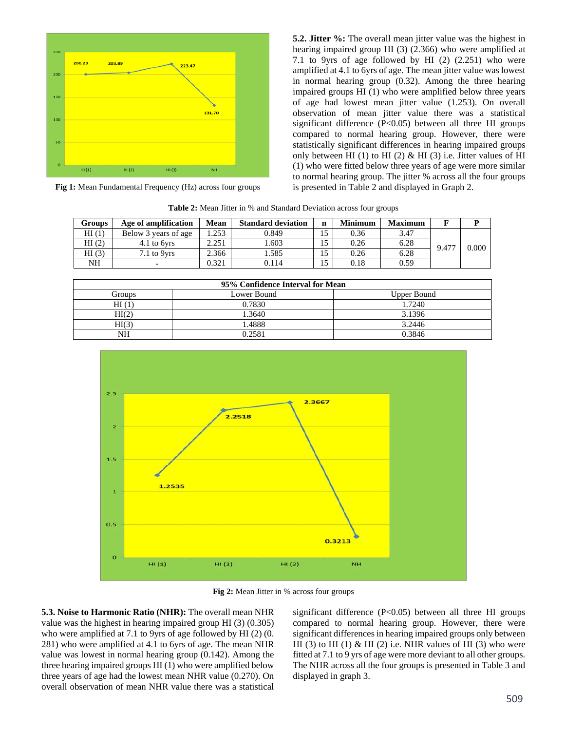

**Fig 1:** Mean Fundamental Frequency (Hz) across four groups

**5.2. Jitter %:** The overall mean jitter value was the highest in hearing impaired group HI (3) (2.366) who were amplified at 7.1 to 9yrs of age followed by HI (2) (2.251) who were amplified at 4.1 to 6yrs of age. The mean jitter value was lowest in normal hearing group (0.32). Among the three hearing impaired groups HI (1) who were amplified below three years of age had lowest mean jitter value (1.253). On overall observation of mean jitter value there was a statistical significant difference (P<0.05) between all three HI groups compared to normal hearing group. However, there were statistically significant differences in hearing impaired groups only between HI (1) to HI (2)  $\&$  HI (3) i.e. Jitter values of HI (1) who were fitted below three years of age were more similar to normal hearing group. The jitter % across all the four groups is presented in Table 2 and displayed in Graph 2.

**Table 2:** Mean Jitter in % and Standard Deviation across four groups

| <b>Groups</b> | Age of amplification | Mean  | <b>Standard deviation</b> | n  | <b>Minimum</b> | <b>Maximum</b> |       |       |
|---------------|----------------------|-------|---------------------------|----|----------------|----------------|-------|-------|
| HI(1)         | Below 3 years of age | .253  | 0.849                     |    | 0.36           | 3.47           |       |       |
| HI(2)         | 4.1 to 6yrs          | 2.251 | .603                      |    | 0.26           | 6.28           | 9.477 | 0.000 |
| HI(3)         | $7.1$ to $9yrs$      | 2.366 | .585                      | 15 | 0.26           | 6.28           |       |       |
| NH            |                      | 0.321 | 0.114                     |    | 0.18           | 0.59           |       |       |

| 95% Confidence Interval for Mean |             |             |  |  |  |  |  |
|----------------------------------|-------------|-------------|--|--|--|--|--|
| Groups                           | Lower Bound | Upper Bound |  |  |  |  |  |
| HI(1)                            | 0.7830      | 1.7240      |  |  |  |  |  |
| HI(2)                            | 1.3640      | 3.1396      |  |  |  |  |  |
| HI(3)                            | .4888       | 3.2446      |  |  |  |  |  |
| NΗ                               | 0.2581      | 0.3846      |  |  |  |  |  |



**Fig 2:** Mean Jitter in % across four groups

**5.3. Noise to Harmonic Ratio (NHR):** The overall mean NHR value was the highest in hearing impaired group HI (3) (0.305) who were amplified at 7.1 to 9yrs of age followed by HI (2) (0. 281) who were amplified at 4.1 to 6yrs of age. The mean NHR value was lowest in normal hearing group (0.142). Among the three hearing impaired groups HI (1) who were amplified below three years of age had the lowest mean NHR value (0.270). On overall observation of mean NHR value there was a statistical

significant difference (P<0.05) between all three HI groups compared to normal hearing group. However, there were significant differences in hearing impaired groups only between HI (3) to HI (1)  $&$  HI (2) i.e. NHR values of HI (3) who were fitted at 7.1 to 9 yrs of age were more deviant to all other groups. The NHR across all the four groups is presented in Table 3 and displayed in graph 3.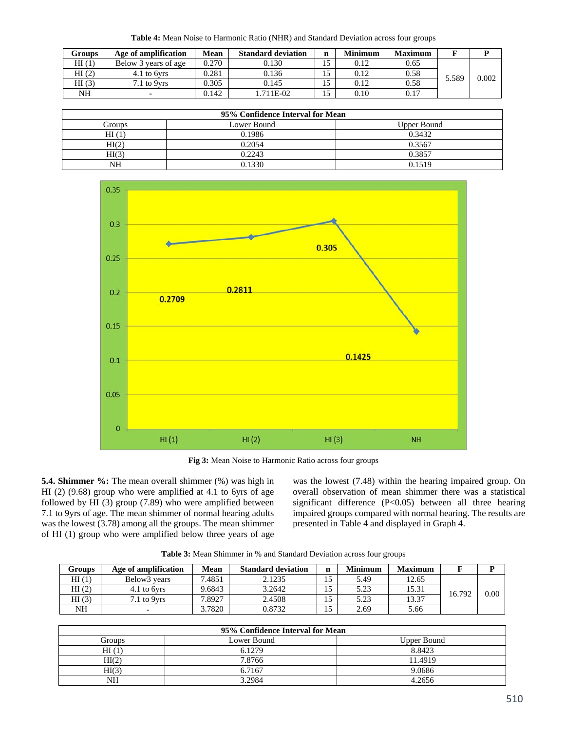**Table 4:** Mean Noise to Harmonic Ratio (NHR) and Standard Deviation across four groups

| Groups | Age of amplification | Mean  | <b>Standard deviation</b> | n | <b>Minimum</b> | <b>Maximum</b> |       |       |
|--------|----------------------|-------|---------------------------|---|----------------|----------------|-------|-------|
| HI(1)  | Below 3 years of age | 0.270 | 0.130                     |   | 0.12           | 0.65           |       |       |
| HI(2)  | 4.1 to 6yrs          | 0.281 | 0.136                     |   | 0.12           | 0.58           | 5.589 | 0.002 |
| HI(3)  | 7.1 to 9yrs          | 0.305 | 0.145                     |   | 0.12           | 0.58           |       |       |
| NH     |                      | 0.142 | .711E-02                  |   | 0.10           | 0.17           |       |       |

| 95% Confidence Interval for Mean |             |             |  |  |  |  |  |
|----------------------------------|-------------|-------------|--|--|--|--|--|
| Groups                           | Lower Bound | Upper Bound |  |  |  |  |  |
| HI(1)                            | 0.1986      | 0.3432      |  |  |  |  |  |
| HI(2)                            | 0.2054      | 0.3567      |  |  |  |  |  |
| HI(3)                            | 0.2243      | 0.3857      |  |  |  |  |  |
| NΗ                               | 0.1330      | 0.1519      |  |  |  |  |  |



**Fig 3:** Mean Noise to Harmonic Ratio across four groups

**5.4. Shimmer %:** The mean overall shimmer (%) was high in HI (2) (9.68) group who were amplified at 4.1 to 6yrs of age followed by HI (3) group (7.89) who were amplified between 7.1 to 9yrs of age. The mean shimmer of normal hearing adults was the lowest (3.78) among all the groups. The mean shimmer of HI (1) group who were amplified below three years of age was the lowest (7.48) within the hearing impaired group. On overall observation of mean shimmer there was a statistical significant difference (P<0.05) between all three hearing impaired groups compared with normal hearing. The results are presented in Table 4 and displayed in Graph 4.

**Table 3:** Mean Shimmer in % and Standard Deviation across four groups

| <b>Groups</b> | Age of amplification | Mean   | <b>Standard deviation</b> | n  | Minimum | <b>Maximum</b> |        |      |
|---------------|----------------------|--------|---------------------------|----|---------|----------------|--------|------|
| HI(1)         | Below3 years         | 7.4851 | 2.1235                    | IJ | 5.49    | 12.65          |        |      |
| HI(2)         | 4.1 to 6yrs          | 9.6843 | 3.2642                    |    | 5.23    | 15.31          | 16.792 |      |
| HI(3)         | 7.1 to 9yrs          | 7.8927 | 2.4508                    |    | 5.23    | 13.37          |        | 0.00 |
| NH            |                      | 3.7820 | 0.8732                    |    | 2.69    | 5.66           |        |      |

| 95% Confidence Interval for Mean |             |                    |  |  |  |  |  |
|----------------------------------|-------------|--------------------|--|--|--|--|--|
| Groups                           | Lower Bound | <b>Upper Bound</b> |  |  |  |  |  |
| HI(1)                            | 6.1279      | 8.8423             |  |  |  |  |  |
| HI(2)                            | 7.8766      | 11.4919            |  |  |  |  |  |
| HI(3)                            | 6.7167      | 9.0686             |  |  |  |  |  |
| NΗ                               | .2984       | 4.2656             |  |  |  |  |  |